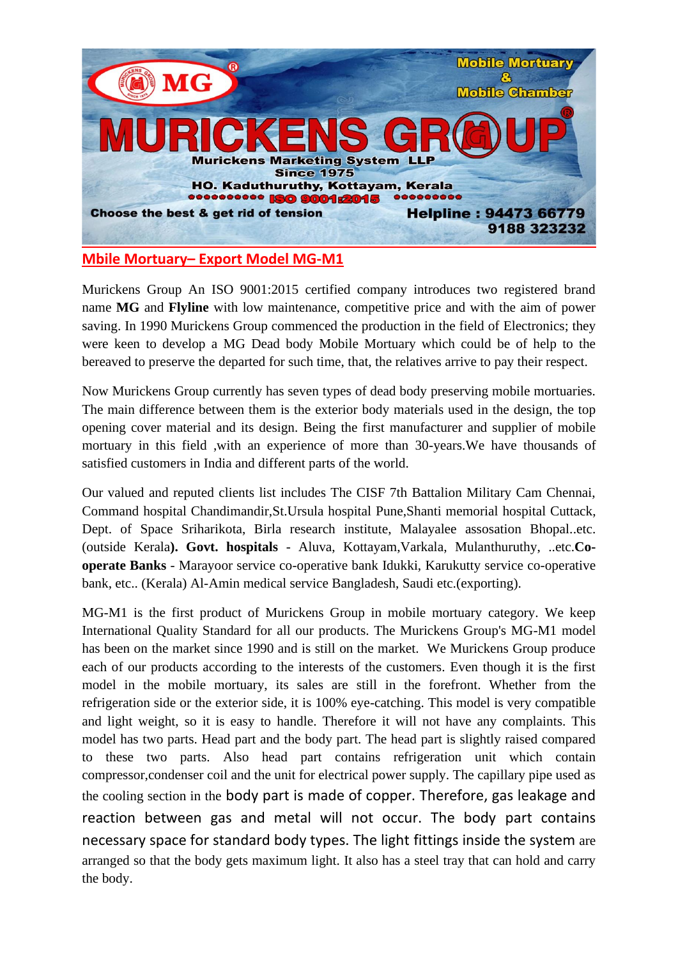

## **Mbile Mortuary– Export Model MG-M1**

Murickens Group An ISO 9001:2015 certified company introduces two registered brand name **MG** and **Flyline** with low maintenance, competitive price and with the aim of power saving. In 1990 Murickens Group commenced the production in the field of Electronics; they were keen to develop a MG Dead body Mobile Mortuary which could be of help to the bereaved to preserve the departed for such time, that, the relatives arrive to pay their respect.

Now Murickens Group currently has seven types of dead body preserving mobile mortuaries. The main difference between them is the exterior body materials used in the design, the top opening cover material and its design. Being the first manufacturer and supplier of mobile mortuary in this field ,with an experience of more than 30-years.We have thousands of satisfied customers in India and different parts of the world.

Our valued and reputed clients list includes The CISF 7th Battalion Military Cam Chennai, Command hospital Chandimandir,St.Ursula hospital Pune,Shanti memorial hospital Cuttack, Dept. of Space Sriharikota, Birla research institute, Malayalee assosation Bhopal..etc. (outside Kerala**). Govt. hospitals** - Aluva, Kottayam,Varkala, Mulanthuruthy, ..etc.**Cooperate Banks** - Marayoor service co-operative bank Idukki, Karukutty service co-operative bank, etc.. (Kerala) Al-Amin medical service Bangladesh, Saudi etc.(exporting).

MG-M1 is the first product of Murickens Group in mobile mortuary category. We keep International Quality Standard for all our products. The Murickens Group's MG-M1 model has been on the market since 1990 and is still on the market. We Murickens Group produce each of our products according to the interests of the customers. Even though it is the first model in the mobile mortuary, its sales are still in the forefront. Whether from the refrigeration side or the exterior side, it is 100% eye-catching. This model is very compatible and light weight, so it is easy to handle. Therefore it will not have any complaints. This model has two parts. Head part and the body part. The head part is slightly raised compared to these two parts. Also head part contains refrigeration unit which contain compressor,condenser coil and the unit for electrical power supply. The capillary pipe used as the cooling section in the body part is made of copper. Therefore, gas leakage and reaction between gas and metal will not occur. The body part contains necessary space for standard body types. The light fittings inside the system are arranged so that the body gets maximum light. It also has a steel tray that can hold and carry the body.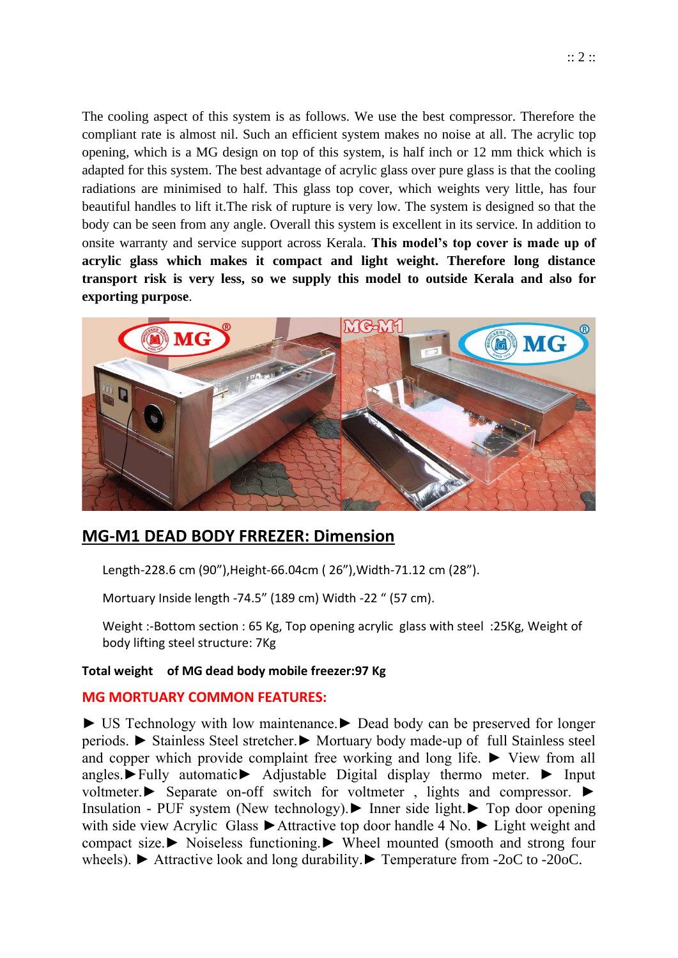The cooling aspect of this system is as follows. We use the best compressor. Therefore the compliant rate is almost nil. Such an efficient system makes no noise at all. The acrylic top opening, which is a MG design on top of this system, is half inch or 12 mm thick which is adapted for this system. The best advantage of acrylic glass over pure glass is that the cooling radiations are minimised to half. This glass top cover, which weights very little, has four beautiful handles to lift it.The risk of rupture is very low. The system is designed so that the body can be seen from any angle. Overall this system is excellent in its service. In addition to onsite warranty and service support across Kerala. **This model's top cover is made up of acrylic glass which makes it compact and light weight. Therefore long distance transport risk is very less, so we supply this model to outside Kerala and also for exporting purpose**.



# **MG-M1 DEAD BODY FRREZER: Dimension**

Length-228.6 cm (90"),Height-66.04cm ( 26"),Width-71.12 cm (28").

Mortuary Inside length -74.5" (189 cm) Width -22 " (57 cm).

Weight :-Bottom section : 65 Kg, Top opening acrylic glass with steel :25Kg, Weight of body lifting steel structure: 7Kg

#### **Total weight of MG dead body mobile freezer:97 Kg**

## **MG MORTUARY COMMON FEATURES:**

► US Technology with low maintenance.► Dead body can be preserved for longer periods. ► Stainless Steel stretcher.► Mortuary body made-up of full Stainless steel and copper which provide complaint free working and long life.  $\blacktriangleright$  View from all angles.►Fully automatic► Adjustable Digital display thermo meter. ► Input voltmeter.► Separate on-off switch for voltmeter , lights and compressor. ► Insulation - PUF system (New technology).► Inner side light.► Top door opening with side view Acrylic Glass ►Attractive top door handle 4 No. ► Light weight and compact size.► Noiseless functioning.► Wheel mounted (smooth and strong four wheels). ► Attractive look and long durability.► Temperature from -2oC to -20oC.